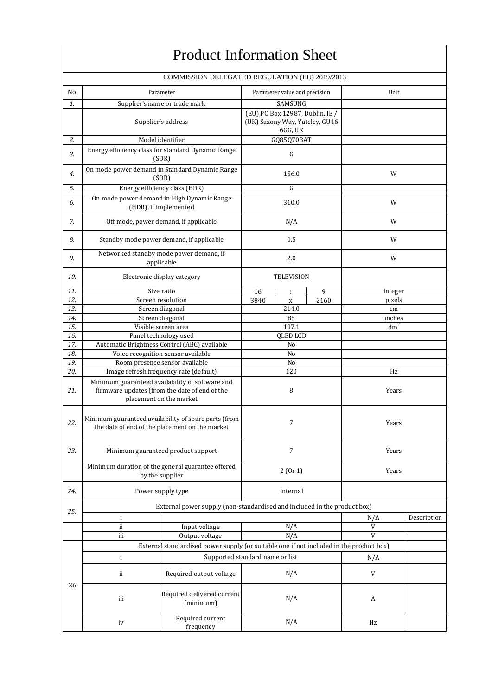|            |     | <b>Product Information Sheet</b>                                                                                            |                             |                                                                              |   |                           |             |  |
|------------|-----|-----------------------------------------------------------------------------------------------------------------------------|-----------------------------|------------------------------------------------------------------------------|---|---------------------------|-------------|--|
|            |     | COMMISSION DELEGATED REGULATION (EU) 2019/2013                                                                              |                             |                                                                              |   |                           |             |  |
| No.        |     | Parameter                                                                                                                   |                             | Parameter value and precision                                                |   | Unit                      |             |  |
| 1.         |     | Supplier's name or trade mark                                                                                               |                             | <b>SAMSUNG</b>                                                               |   |                           |             |  |
|            |     | Supplier's address                                                                                                          |                             | (EU) PO Box 12987, Dublin, IE /<br>(UK) Saxony Way, Yateley, GU46<br>6GG, UK |   |                           |             |  |
| 2.         |     | Model identifier                                                                                                            |                             | GQ85Q70BAT                                                                   |   |                           |             |  |
| 3.         |     | Energy efficiency class for standard Dynamic Range<br>(SDR)                                                                 |                             | G                                                                            |   |                           |             |  |
| 4.         |     | On mode power demand in Standard Dynamic Range<br>(SDR)                                                                     |                             | 156.0                                                                        |   | W                         |             |  |
| 5.         |     | Energy efficiency class (HDR)                                                                                               |                             | G                                                                            |   |                           |             |  |
| 6.         |     | On mode power demand in High Dynamic Range<br>(HDR), if implemented                                                         |                             | 310.0                                                                        |   | W                         |             |  |
| 7.         |     | Off mode, power demand, if applicable                                                                                       |                             | N/A                                                                          |   | W                         |             |  |
| 8.         |     | Standby mode power demand, if applicable                                                                                    |                             | 0.5                                                                          |   | W                         |             |  |
| 9.         |     | Networked standby mode power demand, if<br>applicable                                                                       |                             | 2.0                                                                          |   | W                         |             |  |
| 10.        |     | Electronic display category                                                                                                 | <b>TELEVISION</b>           |                                                                              |   |                           |             |  |
| 11.        |     | Size ratio                                                                                                                  | 16                          | $\ddot{\phantom{a}}$                                                         | 9 | integer                   |             |  |
| 12.        |     | Screen resolution                                                                                                           | 3840<br>2160<br>$\mathbf X$ |                                                                              |   | pixels                    |             |  |
| 13.        |     | Screen diagonal                                                                                                             |                             | 214.0                                                                        |   | cm                        |             |  |
| 14.<br>15. |     | Screen diagonal<br>Visible screen area                                                                                      |                             | 85<br>197.1                                                                  |   | inches<br>dm <sup>2</sup> |             |  |
| 16.        |     | Panel technology used                                                                                                       | <b>QLED LCD</b>             |                                                                              |   |                           |             |  |
| 17.        |     | Automatic Brightness Control (ABC) available                                                                                |                             | No                                                                           |   |                           |             |  |
| 18.        |     | Voice recognition sensor available                                                                                          | No                          |                                                                              |   |                           |             |  |
| 19.        |     | Room presence sensor available                                                                                              | No                          |                                                                              |   |                           |             |  |
| 20.        |     | Image refresh frequency rate (default)                                                                                      | 120                         |                                                                              |   | Hz                        |             |  |
| 21.        |     | Minimum guaranteed availability of software and<br>firmware updates (from the date of end of the<br>placement on the market | 8                           |                                                                              |   | Years                     |             |  |
| 22.        |     | Minimum guaranteed availability of spare parts (from<br>the date of end of the placement on the market                      | 7                           |                                                                              |   | Years                     |             |  |
| 23.        |     | Minimum guaranteed product support                                                                                          | $\overline{7}$              |                                                                              |   | Years                     |             |  |
|            |     | Minimum duration of the general guarantee offered<br>by the supplier                                                        | 2(0r1)                      |                                                                              |   | Years                     |             |  |
| 24.        |     | Power supply type                                                                                                           |                             | Internal                                                                     |   |                           |             |  |
| 25.        |     | External power supply (non-standardised and included in the product box)                                                    |                             |                                                                              |   |                           |             |  |
|            | i   |                                                                                                                             |                             |                                                                              |   | N/A                       | Description |  |
|            | ii  | Input voltage                                                                                                               |                             | N/A                                                                          |   | V                         |             |  |
|            | iii | Output voltage                                                                                                              |                             | N/A                                                                          |   | $\mathbf{V}$              |             |  |
|            |     | External standardised power supply (or suitable one if not included in the product box)                                     |                             |                                                                              |   |                           |             |  |
|            | i   | Supported standard name or list                                                                                             |                             |                                                                              |   | N/A                       |             |  |
|            | ii  | Required output voltage                                                                                                     |                             | N/A                                                                          |   | V                         |             |  |
| 26         | iii | Required delivered current<br>(minimum)                                                                                     |                             | N/A                                                                          |   | A                         |             |  |
|            | iv  | Required current<br>frequency                                                                                               | N/A                         |                                                                              |   | Hz                        |             |  |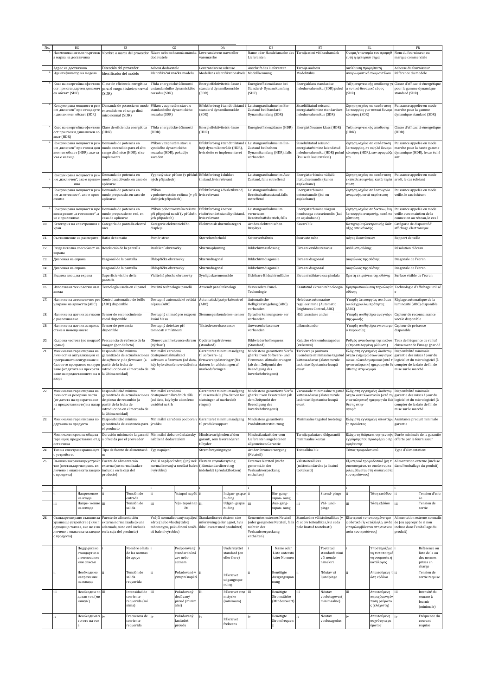| No. | BG                                                      |                                                                                                            |                                                             | ES                                                                   | CS                                                        |                                                                  | DA                                                           |                              | DE                                                         |                           | ET                                                          |                                          | EL                                                           |                              | FR                                                              |                                 |                                                       |                                 |                                                   |  |                       |  |
|-----|---------------------------------------------------------|------------------------------------------------------------------------------------------------------------|-------------------------------------------------------------|----------------------------------------------------------------------|-----------------------------------------------------------|------------------------------------------------------------------|--------------------------------------------------------------|------------------------------|------------------------------------------------------------|---------------------------|-------------------------------------------------------------|------------------------------------------|--------------------------------------------------------------|------------------------------|-----------------------------------------------------------------|---------------------------------|-------------------------------------------------------|---------------------------------|---------------------------------------------------|--|-----------------------|--|
|     |                                                         |                                                                                                            |                                                             | Наименование или търговск Nombre o marca del proveedor               |                                                           |                                                                  |                                                              |                              |                                                            |                           |                                                             | Název nebo ochranná známka<br>dodavatele |                                                              | Leverandørens navn eller     | Lieferanten                                                     |                                 | Name oder Handelsmarke des Tarnija nimi või kaubamärk |                                 | Όνομα/επωνυμία του προμηθ<br>ευτή ή εμπορικό σήμα |  | Nom du fournisseur ou |  |
|     | имарка на доставчика                                    |                                                                                                            |                                                             |                                                                      |                                                           |                                                                  |                                                              |                              |                                                            |                           |                                                             | varemærke                                |                                                              |                              |                                                                 |                                 |                                                       |                                 | marque commerciale                                |  |                       |  |
|     | Адрес на доставчика                                     |                                                                                                            |                                                             | Direcci ón del proveedor                                             |                                                           | Adresa dodavatele                                                |                                                              | Leverandørens adresse        |                                                            | Anschrift des Lieferanten |                                                             | Tarnija aadress                          |                                                              | Διεύθυνση προμηθευτή         |                                                                 | Adresse du fournisseur          |                                                       |                                 |                                                   |  |                       |  |
|     | Идентификатор на модела                                 |                                                                                                            | Identificador del modelo                                    |                                                                      |                                                           | Identifikační značka modelu                                      | Modellens identifikationskode                                |                              | Modellkennung                                              |                           | Mudelitähis                                                 |                                          | Αναγνωριστικό του μοντέλου                                   |                              | Référence du modèle                                             |                                 |                                                       |                                 |                                                   |  |                       |  |
|     |                                                         | Клас на енергийна ефективн                                                                                 | Clase de eficiencia energética                              |                                                                      |                                                           |                                                                  | Třída energetické účinnosti                                  |                              | Energieffektivitetsk-lasse i                               |                           | Energieeffizienzklasse bei                                  |                                          | Energiaklass standardse                                      |                              | Τάξη ενεργειακής απόδοσης γ                                     |                                 |                                                       | Classe d'efficacité énergétique |                                                   |  |                       |  |
|     | ен обхват (SDR)                                         | ост при стандартен динамич                                                                                 | para el rango din ámico normal<br>(SDR)                     |                                                                      | u standardního dynamického<br>rozsahu (SDR)               |                                                                  | standard dynamikområde<br>(SDR)                              |                              | Standard-Dynamikumfang<br>(SDR)                            |                           | heledusvahemiku (SDR) puhul                                 |                                          | α τυπικό δυναμικό εύρος<br>(SDR)                             |                              | pour la gamme dynamique<br>standard (SDR)                       |                                 |                                                       |                                 |                                                   |  |                       |  |
|     |                                                         |                                                                                                            |                                                             |                                                                      |                                                           |                                                                  |                                                              |                              |                                                            |                           |                                                             |                                          |                                                              |                              |                                                                 |                                 |                                                       |                                 |                                                   |  |                       |  |
|     |                                                         | Консумирана мощност в реж                                                                                  |                                                             | Demanda de potencia en modo                                          | Příkon v zapnutém stavu u                                 |                                                                  | Effektforbrug i tændt tilstand                               |                              | Leistungsaufnahme im Ein-                                  |                           | Sisselülitatud seisundi                                     |                                          | ζήτηση ισχύος σε κατάσταση                                   |                              | Puissance appelée en mode                                       |                                 |                                                       |                                 |                                                   |  |                       |  |
|     | им "включен" при стандарте                              |                                                                                                            | encendido en el rango din á                                 |                                                                      | standardního dynamického                                  |                                                                  | standard dynamikområde                                       |                              | Zustand bei Standard-                                      |                           | energiatarbimine standardses                                |                                          | λειτουργίας για τυπικό δυναμι                                |                              | marche pour la gamme                                            |                                 |                                                       |                                 |                                                   |  |                       |  |
|     | н динамичен обхват (SDR)                                |                                                                                                            | mico normal (SDR)                                           |                                                                      | rozsahu (SDR)                                             |                                                                  | (SDR)                                                        |                              | Dynamikumfang (SDR)                                        |                           | heledusvahemikus (SDR)                                      |                                          | κό εύρος (SDR)                                               |                              | dynamique standard (SDR)                                        |                                 |                                                       |                                 |                                                   |  |                       |  |
|     |                                                         |                                                                                                            |                                                             |                                                                      |                                                           |                                                                  | Energieffektivitetsk-lasse                                   |                              | Energieeffizienzklasse (HDR)                               |                           | Energiatõhususe klass (HDR)                                 |                                          | Τάξη ενεργειακής απόδοσης                                    |                              |                                                                 | Classe d'efficacité énergétique |                                                       |                                 |                                                   |  |                       |  |
|     |                                                         | ост при голям динамичен об [HDR]                                                                           | Клас на енергийна ефективн Clase de eficiencia energética   |                                                                      | Třída energetické účinnosti<br>(HDR)                      |                                                                  | (HDR)                                                        |                              |                                                            |                           |                                                             |                                          | (HDR)                                                        |                              | (HDR)                                                           |                                 |                                                       |                                 |                                                   |  |                       |  |
|     | кват (HDR)                                              |                                                                                                            |                                                             |                                                                      |                                                           |                                                                  | Effektforbrug i tændt tilstand i                             |                              |                                                            |                           |                                                             |                                          |                                                              |                              |                                                                 |                                 |                                                       |                                 |                                                   |  |                       |  |
|     |                                                         | Консумирана мощност в реж Demanda de potencia en<br>им "включен" при голям дин modo encendido para el alto |                                                             |                                                                      | Příkon v zapnutém stavu u<br>vysokého dynamického         |                                                                  | højt dynamikområde (HDR),                                    |                              | Leistungsaufnahme im Ein-<br>Zustand bei hohem             |                           | Sisselülitatud seisundi<br>energiatarhimine laiendatud      |                                          | Ζήτηση ισχύος σε κατάσταση<br>λειτουργίας, σε υψηλό δυναμι   |                              | Puissance appelée en mode<br>marche pour la haute gamme         |                                 |                                                       |                                 |                                                   |  |                       |  |
|     | амичен обхват (HDR), ако та<br>къв е налице             |                                                                                                            | rango dinámico (HDR), si se<br>implementa                   |                                                                      | rozsahu (HDR), pokud je<br>zaveden                        |                                                                  | hvis dette er implementeret                                  |                              | Dynamikumfang (HDR), falls<br>vorhanden                    |                           | (kui seda kasutatakse)                                      | heledusvahemiku (HDR) puhul              | κό εύρος (HDR), εάν εφαρμόζε                                 |                              | dynamique (HDR), le cas éché                                    |                                 |                                                       |                                 |                                                   |  |                       |  |
|     |                                                         |                                                                                                            |                                                             |                                                                      |                                                           |                                                                  |                                                              |                              |                                                            |                           |                                                             |                                          |                                                              |                              |                                                                 |                                 |                                                       |                                 |                                                   |  |                       |  |
|     |                                                         |                                                                                                            |                                                             |                                                                      |                                                           |                                                                  |                                                              |                              |                                                            |                           |                                                             |                                          |                                                              |                              |                                                                 |                                 |                                                       |                                 |                                                   |  |                       |  |
|     |                                                         | Консумирана мощност в реж                                                                                  | Demanda de potencia en                                      |                                                                      |                                                           | Vypnutý stav, příkon (v přísluš Effektforbrug i slukket          |                                                              |                              | Leistungsaufnahme im Aus-                                  |                           | Energiatarbimine väljalü                                    |                                          | Ζήτηση ισχύος σε κατάσταση                                   |                              | Puissance appelée en mode                                       |                                 |                                                       |                                 |                                                   |  |                       |  |
|     | им "изключен", ако е прилож<br>имо                      |                                                                                                            | modo desactivado, en caso de<br>aplicarse                   |                                                                      | ných případech)                                           |                                                                  | tilstand, hvis relevant                                      |                              | Zustand, falls zutreffend                                  |                           | itatud seisundis (kui on<br>asiakohanel                     |                                          | εκτός λειτουργίας, κατά περίπ<br>τωση                        |                              | arrêt, le cas échéant                                           |                                 |                                                       |                                 |                                                   |  |                       |  |
|     | Консумирана мощност в реж                               |                                                                                                            | Demanda de potencia en                                      |                                                                      | Příkon                                                    |                                                                  | Effektforbrug i dvaletilstand,                               |                              | Leistungsaufnahme im                                       |                           | Energiatarbimine                                            |                                          | Ζήτηση ισχύος σε λειτουργία                                  |                              | Puissance appelée en mode                                       |                                 |                                                       |                                 |                                                   |  |                       |  |
|     | им "в готовност", ако е прил<br>ожимо                   |                                                                                                            | modo preparado, en caso de<br>aplicarse                     |                                                                      | slušných případech)                                       | v pohotovostním režimu (v pří                                    | hvis relevant                                                |                              | Bereitschaftszustand, falls<br>zutreffend                  |                           | ooteseisundis (kui on<br>asjakohane)                        |                                          | αναμονής, κατά περίπτωση                                     |                              | veille, le cas échéant                                          |                                 |                                                       |                                 |                                                   |  |                       |  |
|     |                                                         |                                                                                                            |                                                             |                                                                      |                                                           |                                                                  |                                                              |                              |                                                            |                           |                                                             |                                          |                                                              |                              |                                                                 |                                 |                                                       |                                 |                                                   |  |                       |  |
|     | жови режим "в готовност", а                             | Консумирана мощност в мре                                                                                  | Demanda de potencia en<br>modo preparado en red, en         |                                                                      |                                                           | Příkon pohotovostním režimu<br>při připojení na síť (v příslušn  | Effektforbrug i netvæ<br>rksforbundet standbytilstand,       |                              | Leistungsaufnahme im<br>vernetzten                         |                           | Energiatarbimine võrguü<br>hendusega ooteseisundis (kui     |                                          | Ζήτηση ισχύος σε δικτυωμένη<br>λειτουργία αναμονής, κατά πε  |                              | Puissance appelée en mode<br>veille avec maintien de la         |                                 |                                                       |                                 |                                                   |  |                       |  |
|     | ко е приложимо                                          |                                                                                                            | caso de aplicarse                                           |                                                                      | ých případech)                                            |                                                                  | hvis relevant                                                |                              | Bereitschaftsbetrieb, falls                                |                           | on asjakohane)                                              |                                          | ρίπτωση                                                      |                              | connexion au réseau, le cas é                                   |                                 |                                                       |                                 |                                                   |  |                       |  |
| 10. | кран                                                    | Категория на електронния е                                                                                 | Categoría de pantalla electró<br>nica                       |                                                                      | Kategorie elektronického<br>displeje                      |                                                                  | Elektronisk skærmkategori                                    |                              | Art des elektronischen<br>Displays                         |                           | Kuvari liik                                                 |                                          | Κατηγορία ηλεκτρονικής διάτ<br>αξης απεικόνισης              |                              | Catégorie de dispositif d'<br>affichage électronique            |                                 |                                                       |                                 |                                                   |  |                       |  |
|     |                                                         |                                                                                                            |                                                             |                                                                      |                                                           |                                                                  |                                                              |                              |                                                            |                           |                                                             |                                          |                                                              |                              |                                                                 |                                 |                                                       |                                 |                                                   |  |                       |  |
| 11. | Съотношение на размерите                                |                                                                                                            | Ratio de tamaño                                             |                                                                      | Poměr stran                                               |                                                                  | Størrelsesforhold                                            |                              | Seitenverhältnis                                           |                           | Suuruste suhe                                               |                                          | Λόγος διαστάσεων                                             |                              | Rapport de taille                                               |                                 |                                                       |                                 |                                                   |  |                       |  |
| 12. |                                                         | Разделителна способност на                                                                                 | Resolución de la pantalla                                   |                                                                      | Rozlišení obrazovky                                       |                                                                  | Skærmopløsning                                               |                              | Bildschirmauflösung                                        |                           | Ekraani eraldusteravus                                      |                                          | Ανάλυση οθόνης                                               |                              | Résolution d'écran                                              |                                 |                                                       |                                 |                                                   |  |                       |  |
|     | екрана                                                  |                                                                                                            |                                                             |                                                                      |                                                           |                                                                  |                                                              |                              |                                                            |                           |                                                             |                                          |                                                              |                              |                                                                 |                                 |                                                       |                                 |                                                   |  |                       |  |
| 13. | Диагонал на екрана                                      |                                                                                                            | Diagonal de la pantalla                                     |                                                                      | Úhlopříčka obrazovky                                      |                                                                  | Skærmdiagonal                                                |                              | Bildschirmdiagonale                                        |                           | Ekraani diagonaal                                           |                                          | Διαγώνιος της οθόνης                                         |                              | Diagonale de l'écran                                            |                                 |                                                       |                                 |                                                   |  |                       |  |
| 14. | Диагонал на екрана                                      |                                                                                                            | Diagonal de la pantalla                                     |                                                                      | Úhlopříčka obrazovky                                      |                                                                  | Skærmdiagonal                                                |                              | Bildschirmdiagonale                                        |                           | Ekraani diagonaal                                           |                                          | Διαγώνιος της οθόνης                                         |                              | Diagonale de l'écran                                            |                                 |                                                       |                                 |                                                   |  |                       |  |
| 15. | Видима площ на екрана                                   |                                                                                                            | Superficie visible de la<br>pantalla                        |                                                                      | Viditelná plocha obrazovky                                |                                                                  | Synligt skærmområde                                          |                              | Sichtbare Bildschirmfläche                                 |                           | Ekraani nähtava osa pindala                                 |                                          | Ορατή επιφάνεια της οθόνης                                   |                              | Surface visible de l'écran                                      |                                 |                                                       |                                 |                                                   |  |                       |  |
| 16. | Използвана технология на п                              |                                                                                                            |                                                             |                                                                      |                                                           |                                                                  |                                                              |                              | Verwendete Panel-                                          |                           |                                                             |                                          |                                                              |                              |                                                                 |                                 |                                                       |                                 |                                                   |  |                       |  |
|     | анела                                                   |                                                                                                            |                                                             | Tecnología usada en el panel<br>Použitá technologie panelů           |                                                           |                                                                  | Anvendt panelteknologi                                       |                              | Technologie                                                |                           | Kasutatud ekraanitehnoloogia                                |                                          | Χρησιμοποιούμενη τεχνολογίο<br>οθόνης                        |                              | Technologie d'affichage utilisé                                 |                                 |                                                       |                                 |                                                   |  |                       |  |
| 17. |                                                         | Наличие на автоматично рег                                                                                 | Control automático de brillo                                |                                                                      | Dostupné automatické ovládá                               |                                                                  | Automatisk lysstyrkekontrol                                  |                              | Automatische                                               |                           | Heleduse automaatne                                         |                                          | Υπαρξη λειτουργίας αυτόματ                                   |                              | Réglage automatique de la                                       |                                 |                                                       |                                 |                                                   |  |                       |  |
|     | улиране на яркостта (АВС)                               |                                                                                                            | (ABC) disponible                                            |                                                                      | ní jasu (ABC)                                             |                                                                  | (ABC)                                                        |                              | Helligkeitsregelung (ABC)<br>vorhanden                     |                           | reguleerimine (Automatic<br>Brightness Control, ABC)        |                                          | ου ελέγχου λαμπρότητας<br>(ABC)                              |                              | luminosité (ABC) disponible                                     |                                 |                                                       |                                 |                                                   |  |                       |  |
| 18. | Наличие на датчик за гласов<br>о разпознаване           |                                                                                                            | Sensor de reconocimiento<br>vocal disponible                |                                                                      | Dostupný snímač pro rozpozn<br>ávání hlasu                |                                                                  | Stemmegenkendelses-sensor                                    |                              | Spracherkennungssen- sor<br>vorhanden                      |                           | Häältuvastuse andur                                         |                                          | Υπαρξη αισθητήρα αναγνώρ<br>σης φωνής                        |                              | Capteur de reconnaissance<br>vocale disponible                  |                                 |                                                       |                                 |                                                   |  |                       |  |
| 19. | Наличие на датчик за присъ                              |                                                                                                            | Sensor de presencia                                         |                                                                      | Dostupný detektor pří                                     |                                                                  | Tilstedeværelsessensor                                       |                              | Anwesenheitssensor                                         |                           | Liikumisandur                                               |                                          | Υπαρξη αισθητήρα εντοπισμι                                   |                              | Capteur de présence                                             |                                 |                                                       |                                 |                                                   |  |                       |  |
|     | ствие в помещението                                     |                                                                                                            | disponible                                                  |                                                                      | tomnosti v místnosti                                      |                                                                  |                                                              |                              | vorhanden                                                  |                           |                                                             |                                          | ύ παρουσίας                                                  |                              | disponible                                                      |                                 |                                                       |                                 |                                                   |  |                       |  |
|     |                                                         |                                                                                                            | Кадрова честота (по подразб Frecuencia de refresco de la    |                                                                      |                                                           |                                                                  |                                                              |                              |                                                            |                           |                                                             |                                          |                                                              |                              |                                                                 |                                 |                                                       |                                 |                                                   |  |                       |  |
| 20. |                                                         |                                                                                                            |                                                             |                                                                      |                                                           | Obnovovací frekvence obrazu                                      | Opdateringsfrekvens                                          |                              | Bildwiederholfrequenz                                      |                           | Kujutise värskendussagedus                                  |                                          | Ρυθμός ανανέωσης της εικόνα                                  |                              | Taux de fréquence de rafraî                                     |                                 |                                                       |                                 |                                                   |  |                       |  |
|     | иране)                                                  |                                                                                                            | magen (por defecto)                                         |                                                                      | (výchozí)                                                 |                                                                  | (standard)                                                   |                              | Standard)                                                  |                           | vaikimisi)                                                  |                                          | ; (προεπιλογμένη ρύθμιση)                                    |                              |                                                                 | chissement de l'image (par dé   |                                                       |                                 |                                                   |  |                       |  |
| 21. | Минимална гарантирана на<br>личност на актуализации на  |                                                                                                            | Disponibilidad mínima                                       | garantizada de actualizaciones                                       | Minimální zaručená<br>dostupnost aktualizací              |                                                                  | Garanteret minimumsadgang<br>til software- og                |                              | Mindestens garantierte Verfü<br>gbarkeit von Software- und |                           | Tarkvara ja püsivara<br>uuenduste minimaalne tagatuo        |                                          | Ελάχιστη εγγυημένη διαθεσιμ<br>ότητα ενημερώσεων λογισμικ    |                              | Disponibilité minimale<br>garantie des mises à jour du          |                                 |                                                       |                                 |                                                   |  |                       |  |
|     | програмното осигуряване и<br>базовото програмно осигуря |                                                                                                            | de software y de firmware (a<br>partir de la fecha de       |                                                                      |                                                           | softwaru a firmwaru (od data,<br>kdy bylo ukončeno uvádění na    | firmwareopdateringer (fra<br>datoen for afslutningen af      |                              | Firmware- Aktualisierungen<br>(ab dem Zeitpunkt der        |                           | kättesaadavus (alates turule<br>laskmise lõpetamise kuupä   |                                          | ού και υλικολογισμικού (από 1<br>ην καταληκτική ημερομηνία δ |                              | logiciel et du micrologiciel [à<br>compter de la date de fin de |                                 |                                                       |                                 |                                                   |  |                       |  |
|     | ване (от датата на прекратя                             |                                                                                                            |                                                             | introducción en el mercado de                                        | trh                                                       |                                                                  | markedsføringen                                              |                              | Beendigung des                                             |                           | evast                                                       |                                          | άθεσης στην αγορά                                            |                              | mise sur le marché                                              |                                 |                                                       |                                 |                                                   |  |                       |  |
|     | ване на предоставянето на п la última unidad)<br>азара  |                                                                                                            |                                                             |                                                                      |                                                           |                                                                  |                                                              |                              | Inverkehrbringens)                                         |                           |                                                             |                                          |                                                              |                              |                                                                 |                                 |                                                       |                                 |                                                   |  |                       |  |
|     |                                                         |                                                                                                            |                                                             |                                                                      |                                                           |                                                                  |                                                              |                              |                                                            |                           |                                                             |                                          |                                                              |                              |                                                                 |                                 |                                                       |                                 |                                                   |  |                       |  |
| 22. | Минимална гарантирана на                                |                                                                                                            | Disponibilidad mínima                                       |                                                                      | Minimální zaručená                                        |                                                                  | Garanteret minimumsadgang                                    |                              | Mindestens garantierte Verfü                               |                           |                                                             | Varuosade minimaalne tagatud             | Ελάχιστη εγγυημένη διαθεσιμ                                  |                              | Disponibilité minimale                                          |                                 |                                                       |                                 |                                                   |  |                       |  |
|     | личност на резервни части<br>(от датата на прекратяване |                                                                                                            | de piezas de recambio (a                                    | garantizada de actualizaciones                                       | dostupnost náhradních dílů<br>(od data, kdy bylo ukončeno |                                                                  | til reservedele (fra datoen for<br>slutningen af markedsfø   |                              | gbarkeit von Ersatzteilen (ab<br>dem Zeitpunkt der         |                           | kättesaadavus (alates turule<br>laskmise lõpetamise kuupä   |                                          | ότητα ανταλλακτικών (από τη<br>ν καταληκτική ημερομηνία διό  |                              | garantie des mises à jour du<br>logiciel et du micrologiciel (à |                                 |                                                       |                                 |                                                   |  |                       |  |
|     | на предоставянето) на пазар                             |                                                                                                            | partir de la fecha de                                       |                                                                      | uvádění na trh                                            |                                                                  | ringen)                                                      |                              | Beendigung des                                             |                           | evast                                                       |                                          | θεσης στην                                                   |                              | compter de la date de fin de                                    |                                 |                                                       |                                 |                                                   |  |                       |  |
|     |                                                         |                                                                                                            | la última unidad)                                           | introducción en el mercado de                                        |                                                           |                                                                  |                                                              |                              | Inverkehrbringens)                                         |                           |                                                             |                                          | αγορά                                                        |                              | mise sur le marché                                              |                                 |                                                       |                                 |                                                   |  |                       |  |
| 23. | Минимална гарантирана по<br>цдръжка за продукта         |                                                                                                            | Disponibilidad mínima                                       |                                                                      | ýrobku                                                    | Minimální zaručená podpora v                                     | Garanteret minimumsadgang                                    |                              | Mindestens garantierte                                     |                           | Minimaalne tagatud tootetugi                                |                                          |                                                              | Ελάχιστη εγγυημένη υποστήρι  | Assistance produit minimale                                     |                                 |                                                       |                                 |                                                   |  |                       |  |
|     |                                                         |                                                                                                            | el producto                                                 | garantizada de asistencia para                                       |                                                           |                                                                  | til produktsupport                                           |                              | Produktunterstüt- zung                                     |                           |                                                             |                                          | ξη προϊόντος                                                 |                              | garantie                                                        |                                 |                                                       |                                 |                                                   |  |                       |  |
|     |                                                         | Минимален срок на общата                                                                                   |                                                             | Duración mínima de la garantí                                        |                                                           | Minimální doba trvání záruky                                     | Mindstevarigheden af den                                     |                              | Mindestlaufzeit der vom                                    |                           | Tarnija pakutava üldgarantii                                |                                          | Ελάχιστη διάρκεια της γενικής                                |                              |                                                                 | Durée minimale de la garantie   |                                                       |                                 |                                                   |  |                       |  |
|     | гаранция, предоставяна от д<br>оставчика                |                                                                                                            | a ofrecida por el proveedor                                 |                                                                      | nabízená dodavatelem                                      |                                                                  | garanti, som leverandøren<br>tilbyder                        |                              | Lieferanten angebotenen<br>allgemeinen Garantie            |                           | minimaalne kestus                                           |                                          | εγγύησης που προσφέρει ο πρ<br>ομηθευτής                     |                              | offerte par le fournisseur                                      |                                 |                                                       |                                 |                                                   |  |                       |  |
| 24. |                                                         |                                                                                                            |                                                             | Тип на електрозахранващот Tipo de fuente de alimentació Typ napájení |                                                           |                                                                  | Strømforsyningstype                                          |                              | Art der Stromversorgung                                    |                           | Toiteallika liik                                            |                                          | Τύπος τροφοδοτικού                                           |                              | Type d'alimentation:                                            |                                 |                                                       |                                 |                                                   |  |                       |  |
|     | о устройство                                            |                                                                                                            |                                                             |                                                                      |                                                           |                                                                  |                                                              |                              | (Netzteil)                                                 |                           |                                                             |                                          |                                                              |                              |                                                                 |                                 |                                                       |                                 |                                                   |  |                       |  |
| 25. | тво (нестандартизирано, вк                              | Външно захранващо устройс Fuente de alimentación                                                           | externa (no normalizada e                                   |                                                                      |                                                           | Vnější napájecí zdroj (jiný než<br>normalizovaný a součást balen | Ekstern strømforsyning<br>(ikkestandardiseret og             |                              | Externes Netzteil (nicht<br>genormt, in der                |                           | Välistoiteallikas<br>(mittestandardne ja lisatud            |                                          | Εξωτερικό τροφοδοτικό (μη τ<br>υποποιημένο, το οποίο συμπε   |                              | Alimentation externe (incluse<br>dans l'emballage du produit)   |                                 |                                                       |                                 |                                                   |  |                       |  |
|     | : продукта)                                             | лючено в опаковката заедно                                                                                 | incluida en la caja del<br>producto)                        |                                                                      | í výrobku)                                                |                                                                  | indeholdt i produktboksen)                                   |                              | Verkaufsverpackung<br>enthalten)                           |                           | tootekasti)                                                 |                                          | του προϊόντος)                                               | ριλαμβάνεται στη συσκευασία  |                                                                 |                                 |                                                       |                                 |                                                   |  |                       |  |
|     |                                                         |                                                                                                            |                                                             |                                                                      |                                                           |                                                                  |                                                              |                              |                                                            |                           |                                                             |                                          |                                                              |                              |                                                                 |                                 |                                                       |                                 |                                                   |  |                       |  |
|     |                                                         |                                                                                                            |                                                             |                                                                      |                                                           |                                                                  |                                                              |                              |                                                            |                           |                                                             |                                          |                                                              |                              |                                                                 |                                 |                                                       |                                 |                                                   |  |                       |  |
|     |                                                         | Напрежение                                                                                                 | ii                                                          | Tensión de                                                           | ii                                                        | Vstupní napětí ji                                                |                                                              | Indgan-gsspæ                 | ii                                                         | Ein-gang-                 | ii                                                          | Sisend-pinge                             |                                                              | Τάση εισόδου                 |                                                                 | Tension d'entr                  |                                                       |                                 |                                                   |  |                       |  |
|     | ій                                                      | на входа<br>Напре-жение ііі                                                                                |                                                             | entrada<br>Tensión de                                                | iii                                                       | Výs-tupní nap iii                                                |                                                              | n- ding<br>Udgan-gsspæ       | iii                                                        | span-nung<br>Aus-gang-    | iii                                                         | Väl- jund-                               | ііі                                                          | Τάση εξόδου                  | iii                                                             | Tension de                      |                                                       |                                 |                                                   |  |                       |  |
|     |                                                         | на изхода                                                                                                  |                                                             | salida                                                               |                                                           | ětí                                                              |                                                              | n-ding                       |                                                            | sspan-nung                |                                                             | pinge                                    |                                                              |                              |                                                                 | sortie                          |                                                       |                                 |                                                   |  |                       |  |
| 26. |                                                         | Стандартизирано външно за Fuente de alimentación                                                           |                                                             |                                                                      |                                                           | Vnější normalizovaný napájecí                                    | Standardiseret ekstern strø                                  |                              | Genormtes externes Netzteil                                |                           | Standardne välistoiteallikas (v                             |                                          | Εξωτερικό τυποποιημένο τρο                                   |                              |                                                                 | Alimentation externe normalis   |                                                       |                                 |                                                   |  |                       |  |
|     |                                                         | хранващо устройство (или п<br>одходящо такова, ако не е вк                                                 | externa normalizada (o una<br>adecuada, si no está incluida |                                                                      | zdroj (nebo vhodný zdroj                                  | tohoto typu, pokud není součá                                    | mforsyning (eller egnet, hvis<br>ikke leveret med produktet) |                              | (oder geeignetes Netzteil, falls<br>nicht in der           |                           | õi sobiv toiteallikas, kui seda<br>pole lisatud tootekasti) |                                          | φοδοτικό (ή κατάλληλο, αν δε<br>ν περιλαμβάνεται στη συσκευ  |                              | ée (ou appropriée si non<br>incluse dans l'emballage du         |                                 |                                                       |                                 |                                                   |  |                       |  |
|     |                                                         | пючено в опаковката заедно                                                                                 | en la caja del producto)                                    |                                                                      | stí balení výrobku)                                       |                                                                  |                                                              |                              | Verkaufsverpackung                                         |                           |                                                             |                                          | ασία του προϊόντος)                                          |                              | produit)                                                        |                                 |                                                       |                                 |                                                   |  |                       |  |
|     | с продукта)                                             |                                                                                                            |                                                             |                                                                      |                                                           |                                                                  |                                                              |                              | enthalten)                                                 |                           |                                                             |                                          |                                                              |                              |                                                                 |                                 |                                                       |                                 |                                                   |  |                       |  |
|     |                                                         | Поддържано                                                                                                 |                                                             | Nombre o lista                                                       |                                                           | Podporovaný                                                      |                                                              | Understøttet                 |                                                            | Name oder                 |                                                             | Toetatud                                 |                                                              | Υποστηριζόμε                 |                                                                 | Référence ou                    |                                                       |                                 |                                                   |  |                       |  |
|     |                                                         | стандартно н                                                                                               |                                                             | de las normas                                                        |                                                           | standardní ná                                                    |                                                              | standard (en                 |                                                            | Liste unterstü            |                                                             | standardi nimi                           |                                                              | νη τυποποιημέ                |                                                                 | liste de la ou                  |                                                       |                                 |                                                   |  |                       |  |
|     |                                                         | аименование<br>или списък                                                                                  |                                                             | de apoyo                                                             |                                                           | zev nebo<br>seznam                                               |                                                              | eller flere)                 |                                                            | tzter Normen              |                                                             | või nende<br>nimekiri                    |                                                              | νη ονομασία ή<br>κατάλογος   |                                                                 | des normes<br>prises en         |                                                       |                                 |                                                   |  |                       |  |
|     |                                                         |                                                                                                            |                                                             |                                                                      |                                                           |                                                                  |                                                              |                              |                                                            |                           |                                                             |                                          |                                                              |                              |                                                                 | charge                          |                                                       |                                 |                                                   |  |                       |  |
|     | ii                                                      | Необходимо<br>напрежение                                                                                   | ii                                                          | Tensión de<br>salida                                                 | ii                                                        | Požadované v<br>ýstupní napětí                                   | ii                                                           | Påkrævet                     |                                                            | Benötigte                 | ii                                                          | Nõutav vä                                |                                                              | Απαιτούμενη 1                |                                                                 | Tension de<br>sortie requise    |                                                       |                                 |                                                   |  |                       |  |
|     |                                                         | на изхода                                                                                                  |                                                             | requerida                                                            |                                                           |                                                                  |                                                              | udgangsspæ<br>nding          |                                                            | Ausgangsspan<br>nung      |                                                             | ljundpinge                               |                                                              | άση εξόδου                   |                                                                 |                                 |                                                       |                                 |                                                   |  |                       |  |
|     |                                                         |                                                                                                            |                                                             |                                                                      |                                                           |                                                                  |                                                              |                              |                                                            |                           |                                                             | Nõutav                                   |                                                              |                              |                                                                 |                                 |                                                       |                                 |                                                   |  |                       |  |
|     | iii                                                     | Необходим по ііі<br>даван ток (ми                                                                          |                                                             | Intensidad de iii<br>corriente                                       |                                                           | Požadovaný<br>dodávaný                                           | iii                                                          | Påkrævet strø iii<br>mstyrke |                                                            | Benötigte<br>Stromstärke  | iii                                                         | voolutugevus(                            | iii                                                          | Απαιτούμενη<br>παρεχόμενη έν | iii                                                             | Intensit é du<br>courant à      |                                                       |                                 |                                                   |  |                       |  |
|     |                                                         | нимум)                                                                                                     |                                                             | requerida (mí<br>nima)                                               |                                                           | proud (minim<br>ální)                                            |                                                              | (minimum)                    |                                                            | (Mindestwert)             |                                                             | minimaalne)                              |                                                              | ταση ρεύματο<br>ς (ελάχιστη) |                                                                 | fournir<br>(minimale)           |                                                       |                                 |                                                   |  |                       |  |
|     |                                                         |                                                                                                            |                                                             |                                                                      |                                                           |                                                                  |                                                              |                              |                                                            |                           |                                                             |                                          |                                                              |                              |                                                                 |                                 |                                                       |                                 |                                                   |  |                       |  |
|     | iv                                                      | Необходима ч іv<br>естота на ток                                                                           |                                                             | Frecuencia de<br>corriente                                           | iv                                                        | Požadovaný<br>kmitočet                                           | iv                                                           | Påkrævet<br>frekvens         |                                                            | Benötigte<br>Stromfrequen | iv                                                          | Nõutav<br>voolusagedus                   | iv                                                           | Απαιτούμενη<br>συχνότητα ρε  |                                                                 | Fréquence du<br>courant         |                                                       |                                 |                                                   |  |                       |  |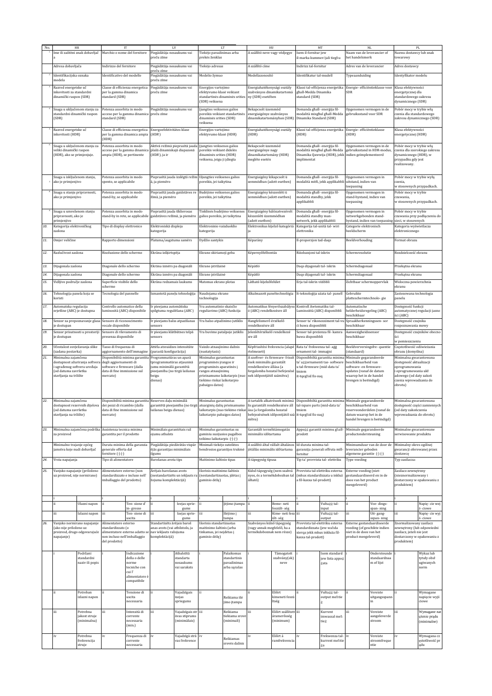|     | HR                                                          |                                                                                                |                                                                                                 | IT                                                                                      | LV                                                       |                                                             | LT                                                             |                                 | HU                                                                                          |                                                       | MT                                                             |                                                                                     | NL                                                                           |                                 | PL                                                       |                               |                                        |                          |                                         |                |  |
|-----|-------------------------------------------------------------|------------------------------------------------------------------------------------------------|-------------------------------------------------------------------------------------------------|-----------------------------------------------------------------------------------------|----------------------------------------------------------|-------------------------------------------------------------|----------------------------------------------------------------|---------------------------------|---------------------------------------------------------------------------------------------|-------------------------------------------------------|----------------------------------------------------------------|-------------------------------------------------------------------------------------|------------------------------------------------------------------------------|---------------------------------|----------------------------------------------------------|-------------------------------|----------------------------------------|--------------------------|-----------------------------------------|----------------|--|
|     |                                                             | lme ili zaštitni znak dobavljač                                                                | Marchio o nome del fornitore                                                                    |                                                                                         | Piegādātāja nosaukums vai                                |                                                             | Tiekėjo pavadinimas arba                                       |                                 | A szállító neve vagy védjegye                                                               |                                                       | Isem il-fornitur jew                                           |                                                                                     | Naam van de leverancier of                                                   |                                 | Nazwa dostawcy lub znak                                  |                               |                                        |                          |                                         |                |  |
|     |                                                             |                                                                                                |                                                                                                 | preču zīme                                                                              |                                                          |                                                             | prekės ženklas                                                 |                                 |                                                                                             |                                                       | l-marka kummerčjali tieghu                                     |                                                                                     | het handelsmerk                                                              |                                 | owarowy.                                                 |                               |                                        |                          |                                         |                |  |
|     | Adresa dobavljača                                           |                                                                                                |                                                                                                 |                                                                                         |                                                          | Indirizzo del fornitore                                     |                                                                |                                 |                                                                                             | Piegādātāja nosaukums vai                             |                                                                | Tiekėjo adresas                                                                     |                                                                              | A szállító címe                 |                                                          | Indirizz tal-fornitur         |                                        | Adres van de leverancier |                                         | Adres dostawcy |  |
|     | Identifikacijska oznaka                                     |                                                                                                |                                                                                                 |                                                                                         |                                                          | dentificativo del modello                                   |                                                                | preču zīme                      |                                                                                             | Piegādātāja nosaukums vai                             |                                                                | Modelio žymuo                                                                       |                                                                              | Modellazonosító                 | dentifikatur tal-mudell                                  |                               | Typeaanduiding                         |                          | Identyfikator modelu                    |                |  |
|     | modela                                                      |                                                                                                |                                                                                                 |                                                                                         |                                                          |                                                             |                                                                |                                 |                                                                                             | preču zīme                                            |                                                                |                                                                                     |                                                                              |                                 |                                                          |                               |                                        |                          |                                         |                |  |
|     | Razred energetske uč<br>inkovitosti za standardni           |                                                                                                |                                                                                                 | per la gamma dinamica                                                                   |                                                          |                                                             |                                                                | Classe di efficienza energetica |                                                                                             | Piegādātāja nosaukums vai                             | Energijos vartojimo<br>efektyvumo klasė veikiant               |                                                                                     | Energiahatékonysági osztály<br>szabványos dinamikatartomá                    |                                 | Klassi tal-effičjenza enerģetika<br>ghall-Medda Dinamika |                               | Energie- efficiëntieklasse voor<br>SDR |                          | Klasa efektywności<br>energetycznej dla |                |  |
|     | dinamički raspon (SDR)                                      |                                                                                                | standard (SDR)                                                                                  |                                                                                         |                                                          |                                                             |                                                                | standartinės dinaminės srities  | ny (SDR) esetében                                                                           |                                                       | standard (SDR)                                                 |                                                                                     |                                                                              |                                 | standardowego zakresu                                    |                               |                                        |                          |                                         |                |  |
|     |                                                             |                                                                                                |                                                                                                 |                                                                                         |                                                          |                                                             | (SDR) veiksena                                                 |                                 |                                                                                             |                                                       |                                                                |                                                                                     |                                                                              |                                 | dynamicznego (SDR)                                       |                               |                                        |                          |                                         |                |  |
|     | Snaga u uključenom stanju za<br>standardni dinamički raspon |                                                                                                | Potenza assorbita in modo                                                                       | acceso per la gamma dinamica                                                            | Piegādātāja nosaukums vai<br>preču zīme                  |                                                             | ļjungties veiksenos galios                                     | poreikis veikiant standartinės  | Bekapcsolt üzemmód<br>energiaigénye szabványos                                              |                                                       | Domanda ghall- enerģija fil-                                   | modalità mixghul ghall-Medda                                                        | Opgenomen vermogen in de<br>gebruiksstand voor SDR                           |                                 | Pobór mocy w trybie włą<br>czenia dla standardowego      |                               |                                        |                          |                                         |                |  |
|     | (SDR)                                                       |                                                                                                | standard (SDR)                                                                                  |                                                                                         |                                                          |                                                             | dinaminės srities (SDR)                                        |                                 |                                                                                             | dinamikatartományban (SDR)                            | Dinamika Standard (SDR)                                        |                                                                                     |                                                                              |                                 |                                                          | zakresu dynamicznego (SDR)    |                                        |                          |                                         |                |  |
|     |                                                             |                                                                                                |                                                                                                 | Classe di efficienza energetica<br>Energoefektivitätes klase                            |                                                          |                                                             | veiksena                                                       |                                 |                                                                                             |                                                       |                                                                |                                                                                     |                                                                              |                                 |                                                          |                               |                                        |                          |                                         |                |  |
|     | Razred energetske uč<br>inkovitosti (HDR)                   |                                                                                                |                                                                                                 | per la gamma dinamica ampia                                                             | (HDR)                                                    |                                                             | Energijos vartojimo<br>efektyvumo klasė (HDR)                  |                                 | Energiahatékonysági osztály<br>(HDR)                                                        |                                                       | (HDR)                                                          | Klassi tal-effičjenza enerģetika                                                    | Energie- efficiëntieklasse<br>(HDR)                                          |                                 | Klasa efektywności<br>energetycznej (HDR)                |                               |                                        |                          |                                         |                |  |
|     |                                                             |                                                                                                | (HDR)                                                                                           |                                                                                         |                                                          |                                                             |                                                                |                                 |                                                                                             |                                                       |                                                                |                                                                                     |                                                                              |                                 |                                                          |                               |                                        |                          |                                         |                |  |
|     | Snaga u uključenom stanju za<br>veliki dinamički raspon     |                                                                                                | Potenza assorbita in modo                                                                       | acceso per la gamma dinamica                                                            | plašā dinamiskajā diapazonā                              | Aktīvā režīmā pieprasītā jauda                              | ljungties veiksenos galios<br>poreikis veikiant didelės        |                                 | Bekapcsolt üzemmód<br>energiaigénye nagy                                                    |                                                       | Domanda ghall- enerģija fil-                                   | modalità mixghul ghall-Medda                                                        | Opgenomen vermogen in de<br>gebruiksstand in HDR-modus                       |                                 | Pobór mocy w trybie włą                                  | czenia dla szerokiego zakresu |                                        |                          |                                         |                |  |
|     | (HDR), ako se primjenjuje.                                  |                                                                                                | ampia (HDR), se pertinente                                                                      |                                                                                         | (HDR), ja ir                                             |                                                             | dinaminės srities (HDR)                                        |                                 | dinamikatartomány (HDR)                                                                     |                                                       |                                                                | Dinamika Qawwija (HDR), jekk indien geïmplementeerd                                 |                                                                              |                                 | dynamicznego (HDR), w                                    |                               |                                        |                          |                                         |                |  |
|     |                                                             |                                                                                                |                                                                                                 |                                                                                         |                                                          |                                                             | veiksena, jeigu ji įdiegta                                     |                                 | megléte esetén                                                                              |                                                       | implimentat                                                    |                                                                                     |                                                                              |                                 | przypadku gdy jest<br>realizowany.                       |                               |                                        |                          |                                         |                |  |
|     |                                                             |                                                                                                |                                                                                                 |                                                                                         |                                                          |                                                             |                                                                |                                 |                                                                                             |                                                       |                                                                |                                                                                     |                                                                              |                                 |                                                          |                               |                                        |                          |                                         |                |  |
|     | Snaga u isključenom stanju,                                 |                                                                                                | Potenza assorbita in modo<br>spento, se applicabile                                             |                                                                                         |                                                          | Pieprasītā jauda izslēgtā režīm Išjungties veiksenos galios | poreikis, jei taikytina                                        |                                 | Energiaigény kikapcsolt ü<br>zemmódban (adott esetben)                                      |                                                       | Domanda ghall- enerģija fil-                                   | modalità mitfi, jekk applikabbl                                                     | Opgenomen vermogen in<br>uitstand, indien van                                |                                 | Pobór mocy w trybie wyłą<br>czenia                       |                               |                                        |                          |                                         |                |  |
|     | ako je primjenjivo                                          |                                                                                                |                                                                                                 |                                                                                         | ā, ja piemēro                                            |                                                             |                                                                |                                 |                                                                                             |                                                       |                                                                |                                                                                     | toepassing                                                                   |                                 | w stosownych przypadkach.                                |                               |                                        |                          |                                         |                |  |
|     | Snaga u stanju pripravnosti,                                |                                                                                                | Potenza assorbita in modo                                                                       |                                                                                         |                                                          | Pieprasītā jauda gaidstāves re                              | Budėjimo veiksenos galios                                      |                                 | Energiaigény készenléti ü                                                                   |                                                       | Domanda ghall- enerģija fil-                                   |                                                                                     | Opgenomen vermogen in                                                        |                                 | Pobór mocy w trybie                                      |                               |                                        |                          |                                         |                |  |
|     | ako je primjenjivo                                          |                                                                                                | stand-by, se applicabile                                                                        |                                                                                         | žīmā, ja piemēro                                         |                                                             | poreikis, jei taikytina                                        |                                 | zemmódban (adott esetben)                                                                   |                                                       | modalità standby, jekk<br>applikabbli                          |                                                                                     | stand-bystand, indien van<br>toepassing                                      |                                 | czuwania,<br>v stosownych przypadkach.                   |                               |                                        |                          |                                         |                |  |
|     |                                                             |                                                                                                |                                                                                                 |                                                                                         | Pieprasītā jauda tīklierosas                             |                                                             |                                                                |                                 |                                                                                             |                                                       |                                                                |                                                                                     | Opgenomen vermogen in                                                        |                                 |                                                          |                               |                                        |                          |                                         |                |  |
|     | Snaga u umreženom stanju<br>pripravnosti, ako je            |                                                                                                | Potenza assorbita in modo                                                                       | stand-by in rete, se applicabile                                                        | gaidstāves režīmā, ja piemēro                            |                                                             | Tinklinės budėjimo veiksenos<br>galios poreikis, jei taikytina |                                 | Energiaigény hálózatvezérelt<br>készenléti üzemmódban                                       |                                                       | Domanda ghall- enerģija fil-<br>nodalità standby man-          |                                                                                     | netwerkgebonden stand-                                                       |                                 | Pobór mocy w trybie                                      | czuwania przy podłączeniu do  |                                        |                          |                                         |                |  |
|     | primjenjivo                                                 |                                                                                                |                                                                                                 |                                                                                         |                                                          |                                                             |                                                                |                                 | [adott esetben]                                                                             |                                                       | ietwerk, jekk applikabbli<br>Kategorija tal-unità tal- wiri    |                                                                                     |                                                                              | bystand, indien van toepassin   | sieci, w stosownych<br>Kategoria wyświetlacza            |                               |                                        |                          |                                         |                |  |
| 10. | Kategorija elektroničkog<br>zaslona                         |                                                                                                | Tipo di display elettronico                                                                     |                                                                                         | Elektroniskā displeja<br>kategorija                      |                                                             | Elektroninio vaizduoklio<br>kategorija                         |                                 |                                                                                             | Elektronikus kijelző kategóriá                        | elettronika                                                    |                                                                                     | Categorie elektronisch<br>beeldscherm                                        |                                 | elektronicznego                                          |                               |                                        |                          |                                         |                |  |
| 11. | Omjer veličine                                              |                                                                                                | Rapporto dimensioni                                                                             |                                                                                         | Platuma/augstuma samērs                                  |                                                             | Dydžio santykis                                                |                                 | Képarány                                                                                    |                                                       | Il-proporzjon tad-daqs                                         |                                                                                     | Beeldverhouding                                                              |                                 | Format obrazu                                            |                               |                                        |                          |                                         |                |  |
|     |                                                             |                                                                                                |                                                                                                 |                                                                                         |                                                          |                                                             |                                                                |                                 |                                                                                             |                                                       |                                                                |                                                                                     |                                                                              |                                 |                                                          |                               |                                        |                          |                                         |                |  |
| 12. | Razlučivost zaslona                                         |                                                                                                | Risoluzione dello schermo                                                                       |                                                                                         | Ekrāna izšķirtspēja                                      |                                                             | Ekrano skiriamoji geba                                         |                                 | Képernyőfelbontás                                                                           |                                                       | Riżoluzzjoni tal-iskrin                                        |                                                                                     | Schermresolutie                                                              |                                 | Rozdzielczość ekranu                                     |                               |                                        |                          |                                         |                |  |
|     |                                                             |                                                                                                |                                                                                                 |                                                                                         |                                                          |                                                             |                                                                |                                 |                                                                                             |                                                       |                                                                |                                                                                     |                                                                              |                                 |                                                          |                               |                                        |                          |                                         |                |  |
| 13. | Dijagonala zaslona                                          |                                                                                                | Diagonale dello schermo                                                                         |                                                                                         | Ekrāna izmērs pa diagonāli                               |                                                             | Ekrano įstrižainė                                              |                                 | Képátló                                                                                     |                                                       | Daqs dijagonali tal- iskrin                                    |                                                                                     | Schermdiagonaal                                                              |                                 | Przekątna ekranu                                         |                               |                                        |                          |                                         |                |  |
| 14. | Dijagonala zaslona                                          |                                                                                                | Diagonale dello schermo                                                                         |                                                                                         | Ekrāna izmērs pa diagonāli                               |                                                             | Ekrano įstrižainė                                              |                                 | Képátló                                                                                     |                                                       | Daqs dijagonali tal- iskrin                                    |                                                                                     | Schermdiagonaal                                                              |                                 | Przekątna ekranu                                         |                               |                                        |                          |                                         |                |  |
| 15. | Vidljivo područje zaslona                                   |                                                                                                | Superficie visibile dello                                                                       |                                                                                         | Ekrāna redzamais laukums                                 |                                                             | Matomas ekrano plotas                                          |                                 | Látható kijelzőfelület                                                                      |                                                       | Erja tal-iskrin vižibbli                                       |                                                                                     | Zichtbaar schermoppervlak                                                    |                                 | Widoczna powierzchnia                                    |                               |                                        |                          |                                         |                |  |
|     |                                                             |                                                                                                | schermo                                                                                         |                                                                                         |                                                          |                                                             |                                                                |                                 |                                                                                             |                                                       |                                                                |                                                                                     |                                                                              |                                 | ekranu                                                   |                               |                                        |                          |                                         |                |  |
| 16. | Tehnologija panela koja se<br>koristi                       |                                                                                                | Tecnologia del pannello                                                                         |                                                                                         | Izmantotā paneļu tehnoloģija                             |                                                             | Naudojama ekrano<br>technologija                               |                                 | Alkalmazott paneltechnológia                                                                |                                                       | It-teknoloģija użata tal- panell                               |                                                                                     | Gebruikte<br>platteschermtechnolo- gie                                       |                                 | Zastosowana technologia<br>panelu                        |                               |                                        |                          |                                         |                |  |
| 17. | Automatska regulacija                                       |                                                                                                |                                                                                                 | Controllo automatico della<br>Ir pieejama automātiska                                   |                                                          | Yra automatinio skaisčio                                    |                                                                |                                 |                                                                                             | Automatikus fényerőszabályoz Kontroll Awtomatiku tal- |                                                                | Automatische                                                                        |                                                                              | Dostępność funkcji              |                                                          |                               |                                        |                          |                                         |                |  |
|     | svjetline (ABC) je dostupna                                 |                                                                                                | luminosità (ABC) disponibile                                                                    |                                                                                         | spilgtuma regulēšana (ABC)                               |                                                             | reguliavimo (ABC) funkcija                                     |                                 | ó (ABC) rendelkezésre áll                                                                   |                                                       | Luminożità (ABC) disponibbli                                   |                                                                                     | helderheidsregeling (ABC)                                                    |                                 |                                                          | automatycznej regulacji jasno |                                        |                          |                                         |                |  |
| 18. | Senzor za prepoznavanje glasa                               |                                                                                                | Sensore di riconoscimento                                                                       |                                                                                         | Ir pieejams balss atpazīšanas                            |                                                             | Yra balso atpažinimo jutiklis                                  |                                 | Hangfelismerő érzékelő                                                                      |                                                       | Senser ta' rikonoxximent tal-vi                                |                                                                                     | beschikbaar<br>Spraakherkenningssen- sor                                     |                                 | ści (ABC)<br>Dostępność czujnika                         |                               |                                        |                          |                                         |                |  |
|     | e dostupan                                                  |                                                                                                | vocale disponibile                                                                              |                                                                                         | sensors                                                  |                                                             |                                                                |                                 | rendelkezésre áll                                                                           |                                                       | či huwa disponibbli                                            |                                                                                     | beschikbaar                                                                  |                                 | rozpoznawania mowy                                       |                               |                                        |                          |                                         |                |  |
| 19. | Senzor prisutnosti u prostoriji<br>e dostupan               |                                                                                                | Sensore di rilevamento di<br>presenza disponibile                                               |                                                                                         | Ir pieejams klātbūtnes telpā<br>sensors                  |                                                             | Yra buvimo patalpoje jutiklis                                  |                                 | elenlétérzékelő rendelkezé<br>sre áll                                                       |                                                       | Senser tal-preżenza fil- kamra<br>huwa disponibbli             |                                                                                     | Aanwezigheidssensor<br>beschikbaar                                           |                                 | Dostępność czujników obecno<br>ści                       |                               |                                        |                          |                                         |                |  |
|     |                                                             |                                                                                                |                                                                                                 |                                                                                         |                                                          |                                                             |                                                                |                                 |                                                                                             |                                                       |                                                                |                                                                                     |                                                                              |                                 | w pomieszczeniu                                          |                               |                                        |                          |                                         |                |  |
| 20. | Učestalost osvježavanja slike<br>zadana postavka)           |                                                                                                | Tasso di frequenza di                                                                           | aggiornamento dell'immagine                                                             | Attēla atsvaidzes intensitāte<br>(parastā konfigurācija) |                                                             | Vaizdo atnaujinimo dažnis<br>(nustatytasis)                    |                                 | Képfrissítési frekvencia (alapé<br>rtelmezett)                                              |                                                       | Rata ta' frekwenza tal- aġġ<br>ornament tal- immagni           |                                                                                     | Beeldverversingsfre- quentie<br>[standaard]                                  |                                 | Częstotliwość odświeżania<br>obrazu (domyślna)           |                               |                                        |                          |                                         |                |  |
| 21. | Minimalna zajamčena                                         |                                                                                                |                                                                                                 | Disponibilità minima garantita                                                          | Programmatūras un aparā                                  |                                                             | Minimalus garantuotas                                          |                                 | A szoftver- és firmware- frissí                                                             |                                                       | Disponibbiltà garantita minima                                 |                                                                                     | Minimale gegarandeerde                                                       |                                 | Minimalna gwarantowana                                   |                               |                                        |                          |                                         |                |  |
|     | ugrađenog softvera uređaja                                  | dostupnost ažuriranja softvera                                                                 | degli aggiornamenti di<br>software e firmware (dalla<br>data di fine immissione sul<br>mercato) |                                                                                         | tprogrammatūras atjauninā<br>jumu minimālā garantētā     |                                                             | programinės įrangos ir<br>programinės aparatinės į             |                                 | ések minimális garantált<br>rendelkezésre állása (a                                         |                                                       | ta' aġġornamenti tas- software<br>u tal-firmware (mid-data ta' |                                                                                     | beschikbaarheid van<br>software- en firmware-                                |                                 | dostępność aktualizacji<br>oprogramowania                |                               |                                        |                          |                                         |                |  |
|     | od datuma završetka                                         |                                                                                                |                                                                                                 |                                                                                         | pieejamība (no tirgū laišanas                            |                                                             | rangos atnaujinimų                                             |                                 |                                                                                             | forgalomba hozatal befejezésé                         | tmiem                                                          |                                                                                     | updates (vanaf de datum                                                      |                                 | i oprogramowania ukł                                     |                               |                                        |                          |                                         |                |  |
|     | stavljanja na tržište                                       |                                                                                                |                                                                                                 |                                                                                         | beigu<br>dienas)                                         |                                                             | tiekimo rinkai laikotarpio                                     | prieinamumo laikotarpis (nuo    | nek időpontjától számítva)                                                                  |                                                       | it-tqeghid fis-suq                                             |                                                                                     | waarop het in de handel<br>brengen is beëindigd)                             |                                 | adowego (od daty zakoń<br>czenia wprowadzania do         |                               |                                        |                          |                                         |                |  |
|     |                                                             |                                                                                                |                                                                                                 |                                                                                         |                                                          |                                                             | pabaigos datos)                                                |                                 |                                                                                             |                                                       |                                                                |                                                                                     |                                                                              |                                 | obrotu)                                                  |                               |                                        |                          |                                         |                |  |
|     |                                                             |                                                                                                |                                                                                                 |                                                                                         |                                                          |                                                             |                                                                |                                 |                                                                                             |                                                       |                                                                |                                                                                     |                                                                              |                                 |                                                          |                               |                                        |                          |                                         |                |  |
| 22. | Minimalna zajamčena<br>dostupnost rezervnih dijelova        |                                                                                                | dei nezzi di ricambio (dalla                                                                    |                                                                                         | Disponibilità minima garantita Rezerves dalu minimālā    |                                                             | Minimalus garantuotas                                          |                                 | atsarginių dalių prieinamumo lis garantált rendelkezėsre áll tal-ispare parts (mid-data ta' |                                                       |                                                                | A tartalék alkatrészek minimá Disponibbiltà garantita minima Minimale gegarandeerde | heschikhaarheid van                                                          |                                 | Minimalna gwarantowana                                   | dostępność części zamiennych  |                                        |                          |                                         |                |  |
|     | (od datuma završetka                                        |                                                                                                |                                                                                                 | garantētā pieejamība (no tirgū<br>data di fine immissione sul<br>laišanas beigu dienas) |                                                          |                                                             |                                                                |                                 | laikotarpis (nuo tiekimo rinkai ása (a forgalomba hozatal                                   |                                                       | tmiem                                                          |                                                                                     | reserveonderdelen (vanaf de                                                  |                                 | (od daty zakończenia                                     |                               |                                        |                          |                                         |                |  |
|     | tavljanja na tržište)                                       |                                                                                                | nercato]                                                                                        |                                                                                         |                                                          |                                                             | aikotarpio pabaigos datos)                                     |                                 | befejezésének időpontjától s:<br>mítva)                                                     |                                                       | t-tqeghid fis-suq]                                             |                                                                                     | atum waarop het in de<br>handel brengen is beëindigd)                        |                                 | vnrowadzania do obr                                      |                               |                                        |                          |                                         |                |  |
|     |                                                             |                                                                                                |                                                                                                 |                                                                                         |                                                          |                                                             |                                                                |                                 |                                                                                             |                                                       |                                                                |                                                                                     |                                                                              |                                 |                                                          |                               |                                        |                          |                                         |                |  |
| 23. | za proizvod                                                 |                                                                                                |                                                                                                 | Minimalna zajamčena podrška Assistenza tecnica minima<br>garantita per il prodotto      |                                                          | Minimālais garantētais raž<br>ojumu atbalsts                | Minimalus garantuotas su<br>gaminiu susijusios pagalbos        |                                 | Garantált terméktámogatás<br>minimális időtartama                                           |                                                       | prodott                                                        |                                                                                     | Appogg garantit minimu ghall- Minimale gegarandeerde<br>productondersteuning |                                 | Minimalne gwarantowane<br>serwisowanie produktu          |                               |                                        |                          |                                         |                |  |
|     |                                                             |                                                                                                |                                                                                                 |                                                                                         |                                                          |                                                             |                                                                |                                 | teikimo laikotarpis (-) (-)                                                                 |                                                       |                                                                |                                                                                     |                                                                              |                                 |                                                          |                               |                                        |                          |                                         |                |  |
|     | Minimalno trajanje općeg<br>jamstva koje nudi dobavljač     |                                                                                                |                                                                                                 | Durata minima della garanzia<br>generale offerta dal                                    |                                                          | Piegādātāja piedāvātās vispār                               | Minimali tiekėjo suteiktos<br>bendrosios garantijos trukmė     |                                 | jótállás minimális időtartama                                                               | A szállító által vállalt általános                    | Id-durata minima tal-                                          | garanzija ģenerali offruta mill-                                                    | Minimumduur van de door de<br>leverancier geboden                            |                                 | Minimalny okres ogólnej<br>gwarancji oferowanej przez    |                               |                                        |                          |                                         |                |  |
|     |                                                             |                                                                                                | fornitore (2) (2)                                                                               |                                                                                         | ējās garantijas minimālais<br>ilgums                     |                                                             |                                                                |                                 |                                                                                             |                                                       | ornitur                                                        |                                                                                     | algemene garantie ( <sup>2</sup> ) ( <sup>2</sup> )                          |                                 | dostawcę                                                 |                               |                                        |                          |                                         |                |  |
| 24. | Vrsta napajanja                                             |                                                                                                | Tipo di alimentatore                                                                            |                                                                                         | Barošanas avota tips                                     |                                                             | Maitinimo šaltinio tipas                                       |                                 | A tápegység típusa                                                                          |                                                       |                                                                | lip ta' provvista tal- elettriku                                                    | Type voeding                                                                 |                                 | Typ zasilacza:                                           |                               |                                        |                          |                                         |                |  |
| 25. | Vanjsko napajanje (priloženo                                |                                                                                                | Alimentatore esterno (non                                                                       |                                                                                         |                                                          |                                                             | Ārējais barošanas avots                                        |                                 | Išorinis maitinimo šaltinis                                                                 |                                                       | Külső tápegység (nem szabvá                                    |                                                                                     |                                                                              | Provvista tal-elettriku esterna | Externe voeding (niet-                                   |                               | Zasilacz zewnętrzny                    |                          |                                         |                |  |
|     | uz proizvod, nije normirano)                                |                                                                                                | standardizzato e incluso nell'                                                                  |                                                                                         | žojuma komplektācijā)                                    | (nestandartizēts un iekļauts ra                             | (nestandartizuotas, įdėtas į<br>gaminio dėžę)                  |                                 | álható)                                                                                     | nyos, és a termékdobozban tal                         | a fil-kaxxa tal-prodott)                                       | (mhux standardizzata u inkluż                                                       | gestandaardiseerd en in de<br>doos van het product                           |                                 | (nieznormalizowany i                                     | dostarczony w opakowaniu z    |                                        |                          |                                         |                |  |
|     |                                                             |                                                                                                | imballaggio del prodotto)                                                                       |                                                                                         |                                                          |                                                             |                                                                |                                 |                                                                                             |                                                       |                                                                |                                                                                     | meegeleverd)                                                                 |                                 | produktem)                                               |                               |                                        |                          |                                         |                |  |
|     |                                                             |                                                                                                |                                                                                                 |                                                                                         |                                                          |                                                             |                                                                |                                 |                                                                                             |                                                       |                                                                |                                                                                     |                                                                              |                                 |                                                          |                               |                                        |                          |                                         |                |  |
|     |                                                             |                                                                                                |                                                                                                 |                                                                                         |                                                          |                                                             |                                                                |                                 |                                                                                             | Beme- neti                                            | ii                                                             |                                                                                     |                                                                              |                                 |                                                          |                               |                                        |                          |                                         |                |  |
|     |                                                             | Ulazni napon                                                                                   |                                                                                                 | Ten- sione d'<br>in-gresso                                                              | ii                                                       | leejas sprie-<br>gums                                       | ii                                                             | lėjimo įtampa                   | ii                                                                                          | feszült- ség                                          |                                                                | Vultaģģ tal-<br>input                                                               | ii                                                                           | Voe-dings-<br>span-ning         |                                                          | Napię- cie wej<br>ś- ciowe    |                                        |                          |                                         |                |  |
|     | iii                                                         | Izlazni napon                                                                                  | iii                                                                                             | Ten-sione di<br>uscita                                                                  | iii                                                      | Izejas sprie-<br>gums                                       | iii                                                            | Išėjimo į<br>tampa              | iii                                                                                         | Kime- neti fesz iii<br>ült- ség                       |                                                                | Vultağğ tal-<br>output                                                              | iii                                                                          | Uit-gang-<br>sspan-ning         | iii                                                      | Napię- cie wyj<br>ś- ciowe    |                                        |                          |                                         |                |  |
| 26. | Vanjsko normirano napajanje                                 |                                                                                                | Alimentatore esterno                                                                            |                                                                                         | Standartizēts ārējais baroš                              |                                                             | Išorinis standartizuotas                                       |                                 | Szabványos külső tápegység                                                                  |                                                       |                                                                | Provvista tal-elettriku esterna                                                     | Externe gestandaardiseerde                                                   |                                 | Znormalizowany zasilacz                                  |                               |                                        |                          |                                         |                |  |
|     | (ako nije priloženo uz                                      |                                                                                                | standardizzato (o                                                                               |                                                                                         | anas avots (vai atbilstošs, ja<br>nav iekļauts ražojuma  |                                                             | maitinimo šaltinis (arba<br>tinkamas, jei neįdėtas į           |                                 | (vagy annak megfelelő, ha a<br>termékdoboznak nem része)                                    |                                                       | standardizzata (jew wahda                                      |                                                                                     | voeding (of geschikte indien<br>niet in de doos van het                      |                                 | zewnętrzny (lub odpowiedni<br>zasilacz, jeżeli nie jest  |                               |                                        |                          |                                         |                |  |
|     | napajanje)                                                  | proizvod, drugo odgovarajuće<br>alimentatore esterno adatto se<br>non incluso nell'imballaggio |                                                                                                 | komplektācijā)                                                                          |                                                          |                                                             | gaminio dėžę)                                                  |                                 |                                                                                             |                                                       | xierqa jekk mhux inkluža fil-<br>kaxxa tal-prodott)            |                                                                                     | product meegeleverd)                                                         |                                 |                                                          | dostarczony w opakowaniu z    |                                        |                          |                                         |                |  |
|     |                                                             |                                                                                                | del prodotto)                                                                                   |                                                                                         |                                                          |                                                             |                                                                |                                 |                                                                                             |                                                       |                                                                |                                                                                     |                                                                              | produktem)                      |                                                          |                               |                                        |                          |                                         |                |  |
|     |                                                             | Podržani                                                                                       |                                                                                                 | Indicazione                                                                             |                                                          | Atbalstītā                                                  |                                                                | Palaikomas                      |                                                                                             | Támogatott                                            |                                                                | sem standard                                                                        |                                                                              | Ondersteunde                    |                                                          | Wykaz lub                     |                                        |                          |                                         |                |  |
|     |                                                             | standardni<br>naziv ili popis                                                                  |                                                                                                 | della o delle<br>norme                                                                  |                                                          | standarta<br>nosaukums                                      |                                                                | standartinis<br>pavadinimas     |                                                                                             | szabvány(ok)<br>neve                                  |                                                                | ew lista appog                                                                      |                                                                              | standaardnaa<br>m of lijst      |                                                          | tytuły obsł<br>ugiwanych      |                                        |                          |                                         |                |  |
|     |                                                             |                                                                                                |                                                                                                 | tecniche con                                                                            |                                                          | vai saraksts                                                |                                                                | arba sąrašas                    |                                                                                             |                                                       |                                                                | gata                                                                                |                                                                              |                                 |                                                          | norm                          |                                        |                          |                                         |                |  |
|     |                                                             |                                                                                                |                                                                                                 | cui l'<br>alimentatore è                                                                |                                                          |                                                             |                                                                |                                 |                                                                                             |                                                       |                                                                |                                                                                     |                                                                              |                                 |                                                          |                               |                                        |                          |                                         |                |  |
|     |                                                             |                                                                                                |                                                                                                 | compatibile                                                                             |                                                          |                                                             |                                                                |                                 |                                                                                             |                                                       |                                                                |                                                                                     |                                                                              |                                 |                                                          |                               |                                        |                          |                                         |                |  |
|     |                                                             | Potreban                                                                                       |                                                                                                 | Tensione di                                                                             |                                                          | Vajadzīgais                                                 |                                                                |                                 |                                                                                             | Előírt                                                |                                                                | Vultaģģ tal-                                                                        |                                                                              | Vereiste                        |                                                          | Wymagane                      |                                        |                          |                                         |                |  |
|     |                                                             | izlazni napon                                                                                  |                                                                                                 | uscita                                                                                  |                                                          | izejas                                                      |                                                                | Reikiama išė                    |                                                                                             | kimeneti feszü                                        |                                                                | output mehtie                                                                       |                                                                              | uitgangsspann                   |                                                          | napięcie wyjś                 |                                        |                          |                                         |                |  |
|     |                                                             |                                                                                                |                                                                                                 | necessaria                                                                              |                                                          | spriegums                                                   |                                                                | jimo įtampa                     |                                                                                             | ltség                                                 |                                                                |                                                                                     |                                                                              | in                              |                                                          | ciowe                         |                                        |                          |                                         |                |  |
|     | iii                                                         | Potrebna                                                                                       | iii                                                                                             | Intensità di                                                                            | iii                                                      | Vajadzīgais strii                                           |                                                                | Reikiama                        | iii                                                                                         | Előírt szállított jij                                 |                                                                | Kurrent                                                                             | іij                                                                          | Vereiste                        |                                                          | Wymagane nat                  |                                        |                          |                                         |                |  |
|     |                                                             | jakost struje<br>(minimalna)                                                                   |                                                                                                 | corrente<br>necessaria                                                                  |                                                          | āvas stiprums<br>(minimālais)                               |                                                                | tiekiama srov<br>(minimali)     |                                                                                             | áramerősség<br>(minimum)                              |                                                                | imwassal meh<br>tieģ                                                                |                                                                              | aangeleverde<br>stroom          |                                                          | ężenie prądu<br>(minimalne)   |                                        |                          |                                         |                |  |
|     |                                                             |                                                                                                |                                                                                                 | (min.)                                                                                  |                                                          |                                                             |                                                                |                                 |                                                                                             |                                                       |                                                                |                                                                                     |                                                                              |                                 |                                                          |                               |                                        |                          |                                         |                |  |
|     | iv                                                          | Potrebna                                                                                       | iv                                                                                              | Frequenza di                                                                            | iv                                                       | Vajadzīgā strā                                              | iv                                                             | Reikiamas                       |                                                                                             | Előírt á                                              | iv                                                             | Frekwenza tal- iv                                                                   |                                                                              | Vereiste                        |                                                          | Wymagana cz                   |                                        |                          |                                         |                |  |
|     |                                                             | frekvencija<br>struje                                                                          |                                                                                                 | corrente<br>necessaria                                                                  |                                                          | vas frekvence                                               |                                                                | srovės dažnis                   |                                                                                             | ramfrekvencia                                         |                                                                | kurrent mehtie                                                                      |                                                                              | stroomfreque<br>ntie            |                                                          | ęstotliwość pr<br>ądu         |                                        |                          |                                         |                |  |